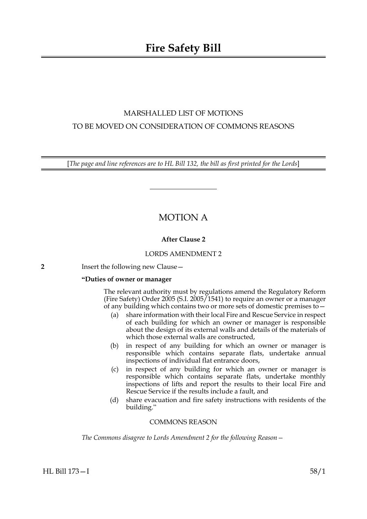# MARSHALLED LIST OF MOTIONS TO BE MOVED ON CONSIDERATION OF COMMONS REASONS

[*The page and line references are to HL Bill 132, the bill as first printed for the Lords*]

# MOTION A

# **After Clause 2**

## LORDS AMENDMENT 2

**2** Insert the following new Clause—

## **"Duties of owner or manager**

The relevant authority must by regulations amend the Regulatory Reform (Fire Safety) Order 2005 (S.I. 2005/1541) to require an owner or a manager of any building which contains two or more sets of domestic premises to—

- (a) share information with their local Fire and Rescue Service in respect of each building for which an owner or manager is responsible about the design of its external walls and details of the materials of which those external walls are constructed,
- (b) in respect of any building for which an owner or manager is responsible which contains separate flats, undertake annual inspections of individual flat entrance doors,
- (c) in respect of any building for which an owner or manager is responsible which contains separate flats, undertake monthly inspections of lifts and report the results to their local Fire and Rescue Service if the results include a fault, and
- (d) share evacuation and fire safety instructions with residents of the building."

## COMMONS REASON

*The Commons disagree to Lords Amendment 2 for the following Reason—*

HL Bill 173—I 58/1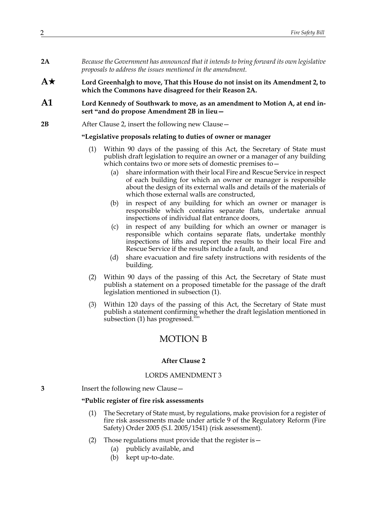- **2A** *Because the Government has announced that it intends to bring forward its own legislative proposals to address the issues mentioned in the amendment.*
- **A Lord Greenhalgh to move, That this House do not insist on its Amendment 2, to which the Commons have disagreed for their Reason 2A.**
- **A1 Lord Kennedy of Southwark to move, as an amendment to Motion A, at end insert "and do propose Amendment 2B in lieu—**
- **2B** After Clause 2, insert the following new Clause –

#### **"Legislative proposals relating to duties of owner or manager**

- (1) Within 90 days of the passing of this Act, the Secretary of State must publish draft legislation to require an owner or a manager of any building which contains two or more sets of domestic premises to—
	- (a) share information with their local Fire and Rescue Service in respect of each building for which an owner or manager is responsible about the design of its external walls and details of the materials of which those external walls are constructed,
	- (b) in respect of any building for which an owner or manager is responsible which contains separate flats, undertake annual inspections of individual flat entrance doors,
	- (c) in respect of any building for which an owner or manager is responsible which contains separate flats, undertake monthly inspections of lifts and report the results to their local Fire and Rescue Service if the results include a fault, and
	- (d) share evacuation and fire safety instructions with residents of the building.
- (2) Within 90 days of the passing of this Act, the Secretary of State must publish a statement on a proposed timetable for the passage of the draft legislation mentioned in subsection (1).
- (3) Within 120 days of the passing of this Act, the Secretary of State must publish a statement confirming whether the draft legislation mentioned in subsection (1) has progressed.""

# MOTION B

### **After Clause 2**

### LORDS AMENDMENT 3

**3** Insert the following new Clause—

### **"Public register of fire risk assessments**

- (1) The Secretary of State must, by regulations, make provision for a register of fire risk assessments made under article 9 of the Regulatory Reform (Fire Safety) Order 2005 (S.I. 2005/1541) (risk assessment).
- (2) Those regulations must provide that the register is—
	- (a) publicly available, and
	- (b) kept up-to-date.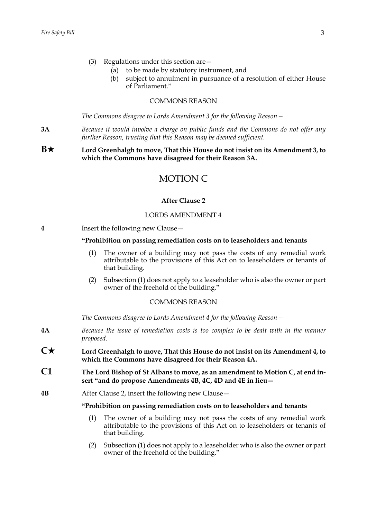- (3) Regulations under this section are—
	- (a) to be made by statutory instrument, and
	- (b) subject to annulment in pursuance of a resolution of either House of Parliament."

### COMMONS REASON

*The Commons disagree to Lords Amendment 3 for the following Reason—*

**3A** *Because it would involve a charge on public funds and the Commons do not offer any further Reason, trusting that this Reason may be deemed sufficient.*

**B**★ Lord Greenhalgh to move, That this House do not insist on its Amendment 3, to **which the Commons have disagreed for their Reason 3A.**

# MOTION C

#### **After Clause 2**

### LORDS AMENDMENT 4

**4** Insert the following new Clause—

### **"Prohibition on passing remediation costs on to leaseholders and tenants**

- (1) The owner of a building may not pass the costs of any remedial work attributable to the provisions of this Act on to leaseholders or tenants of that building.
- (2) Subsection (1) does not apply to a leaseholder who is also the owner or part owner of the freehold of the building."

### COMMONS REASON

*The Commons disagree to Lords Amendment 4 for the following Reason—*

- **4A** *Because the issue of remediation costs is too complex to be dealt with in the manner proposed.*
- **C Lord Greenhalgh to move, That this House do not insist on its Amendment 4, to which the Commons have disagreed for their Reason 4A.**
- **C1 The Lord Bishop of St Albans to move, as an amendment to Motion C, at end insert "and do propose Amendments 4B, 4C, 4D and 4E in lieu—**
- **4B** After Clause 2, insert the following new Clause—

#### **"Prohibition on passing remediation costs on to leaseholders and tenants**

- (1) The owner of a building may not pass the costs of any remedial work attributable to the provisions of this Act on to leaseholders or tenants of that building.
- (2) Subsection (1) does not apply to a leaseholder who is also the owner or part owner of the freehold of the building."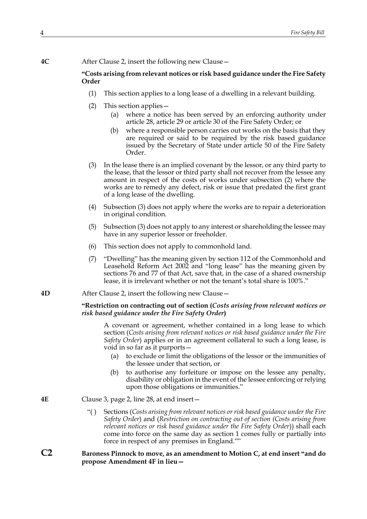**4C** After Clause 2, insert the following new Clause—

## **"Costs arising from relevant notices or risk based guidance under the Fire Safety Order**

- (1) This section applies to a long lease of a dwelling in a relevant building.
- (2) This section applies—
	- (a) where a notice has been served by an enforcing authority under article 28, article 29 or article 30 of the Fire Safety Order; or
	- (b) where a responsible person carries out works on the basis that they are required or said to be required by the risk based guidance issued by the Secretary of State under article 50 of the Fire Safety Order.
- (3) In the lease there is an implied covenant by the lessor, or any third party to the lease, that the lessor or third party shall not recover from the lessee any amount in respect of the costs of works under subsection (2) where the works are to remedy any defect, risk or issue that predated the first grant of a long lease of the dwelling.
- (4) Subsection (3) does not apply where the works are to repair a deterioration in original condition.
- (5) Subsection (3) does not apply to any interest or shareholding the lessee may have in any superior lessor or freeholder.
- (6) This section does not apply to commonhold land.
- (7) "Dwelling" has the meaning given by section 112 of the Commonhold and Leasehold Reform Act 2002 and "long lease" has the meaning given by sections 76 and 77 of that Act, save that, in the case of a shared ownership lease, it is irrelevant whether or not the tenant's total share is 100%."
- **4D** After Clause 2, insert the following new Clause—

### **"Restriction on contracting out of section (***Costs arising from relevant notices or risk based guidance under the Fire Safety Order***)**

 A covenant or agreement, whether contained in a long lease to which section (*Costs arising from relevant notices or risk based guidance under the Fire Safety Order*) applies or in an agreement collateral to such a long lease, is void in so far as it purports—

- (a) to exclude or limit the obligations of the lessor or the immunities of the lessee under that section, or
- (b) to authorise any forfeiture or impose on the lessee any penalty, disability or obligation in the event of the lessee enforcing or relying upon those obligations or immunities."
- **4E** Clause 3, page 2, line 28, at end insert—
	- "( ) Sections (*Costs arising from relevant notices or risk based guidance under the Fire Safety Order*) and (*Restriction on contracting out of section (Costs arising from relevant notices or risk based guidance under the Fire Safety Order*)) shall each come into force on the same day as section 1 comes fully or partially into force in respect of any premises in England.""

## **C2 Baroness Pinnock to move, as an amendment to Motion C, at end insert "and do propose Amendment 4F in lieu—**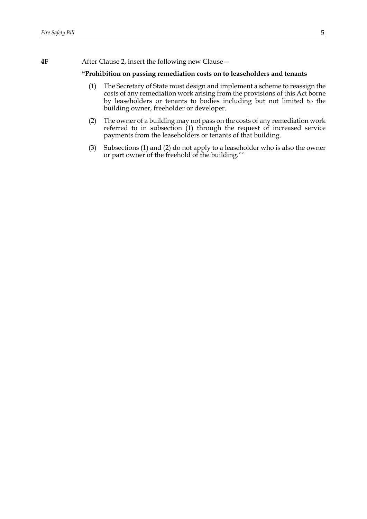**4F** After Clause 2, insert the following new Clause—

### **"Prohibition on passing remediation costs on to leaseholders and tenants**

- (1) The Secretary of State must design and implement a scheme to reassign the costs of any remediation work arising from the provisions of this Act borne by leaseholders or tenants to bodies including but not limited to the building owner, freeholder or developer.
- (2) The owner of a building may not pass on the costs of any remediation work referred to in subsection (1) through the request of increased service payments from the leaseholders or tenants of that building.
- (3) Subsections (1) and (2) do not apply to a leaseholder who is also the owner or part owner of the freehold of the building.""